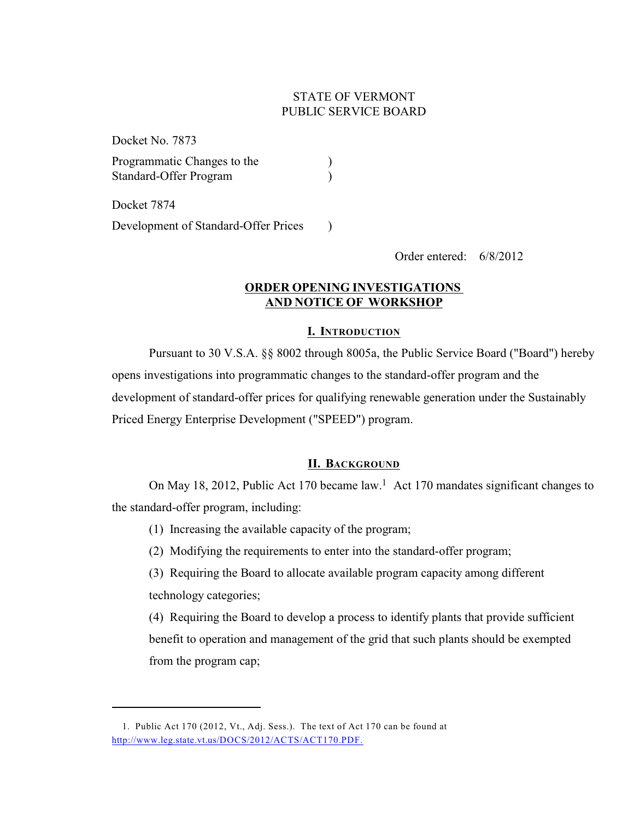# STATE OF VERMONT PUBLIC SERVICE BOARD

| Docket No. 7873                                       |  |
|-------------------------------------------------------|--|
| Programmatic Changes to the<br>Standard-Offer Program |  |
| Docket 7874                                           |  |
| Development of Standard-Offer Prices                  |  |

Order entered: 6/8/2012

## **ORDER OPENING INVESTIGATIONS AND NOTICE OF WORKSHOP**

### **I. INTRODUCTION**

Pursuant to 30 V.S.A. §§ 8002 through 8005a, the Public Service Board ("Board") hereby opens investigations into programmatic changes to the standard-offer program and the development of standard-offer prices for qualifying renewable generation under the Sustainably Priced Energy Enterprise Development ("SPEED") program.

## **II. BACKGROUND**

On May 18, 2012, Public Act 170 became law.<sup>1</sup> Act 170 mandates significant changes to the standard-offer program, including:

(1) Increasing the available capacity of the program;

(2) Modifying the requirements to enter into the standard-offer program;

(3) Requiring the Board to allocate available program capacity among different technology categories;

(4) Requiring the Board to develop a process to identify plants that provide sufficient benefit to operation and management of the grid that such plants should be exempted from the program cap;

<sup>1.</sup> Public Act 170 (2012, Vt., Adj. Sess.). The text of Act 170 can be found at <http://www.leg.state.vt.us/DOCS/2012/ACTS/ACT170.PDF.>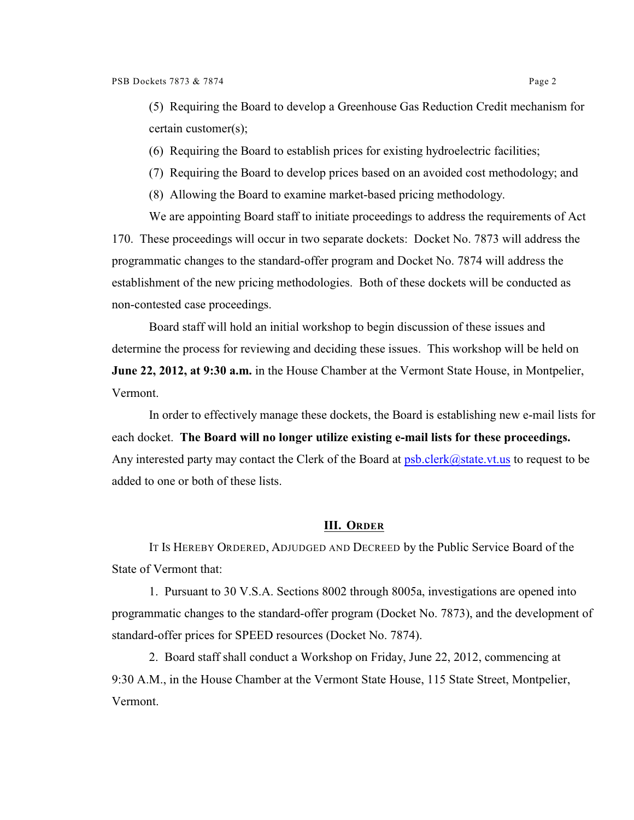(5) Requiring the Board to develop a Greenhouse Gas Reduction Credit mechanism for certain customer(s);

(6) Requiring the Board to establish prices for existing hydroelectric facilities;

(7) Requiring the Board to develop prices based on an avoided cost methodology; and

(8) Allowing the Board to examine market-based pricing methodology.

We are appointing Board staff to initiate proceedings to address the requirements of Act 170. These proceedings will occur in two separate dockets: Docket No. 7873 will address the programmatic changes to the standard-offer program and Docket No. 7874 will address the establishment of the new pricing methodologies. Both of these dockets will be conducted as non-contested case proceedings.

Board staff will hold an initial workshop to begin discussion of these issues and determine the process for reviewing and deciding these issues. This workshop will be held on **June 22, 2012, at 9:30 a.m.** in the House Chamber at the Vermont State House, in Montpelier, Vermont.

In order to effectively manage these dockets, the Board is establishing new e-mail lists for each docket. **The Board will no longer utilize existing e-mail lists for these proceedings.** Any interested party may contact the Clerk of the Board at  $psb$  clerk@state.vt.us to request to be added to one or both of these lists.

#### **III. ORDER**

IT IS HEREBY ORDERED, ADJUDGED AND DECREED by the Public Service Board of the State of Vermont that:

1. Pursuant to 30 V.S.A. Sections 8002 through 8005a, investigations are opened into programmatic changes to the standard-offer program (Docket No. 7873), and the development of standard-offer prices for SPEED resources (Docket No. 7874).

2. Board staff shall conduct a Workshop on Friday, June 22, 2012, commencing at 9:30 A.M., in the House Chamber at the Vermont State House, 115 State Street, Montpelier, Vermont.